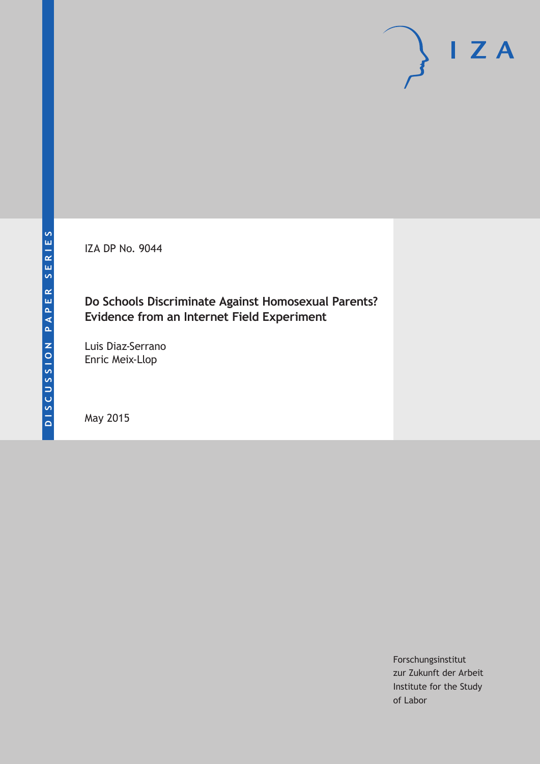IZA DP No. 9044

# **Do Schools Discriminate Against Homosexual Parents? Evidence from an Internet Field Experiment**

Luis Diaz-Serrano Enric Meix-Llop

May 2015

Forschungsinstitut zur Zukunft der Arbeit Institute for the Study of Labor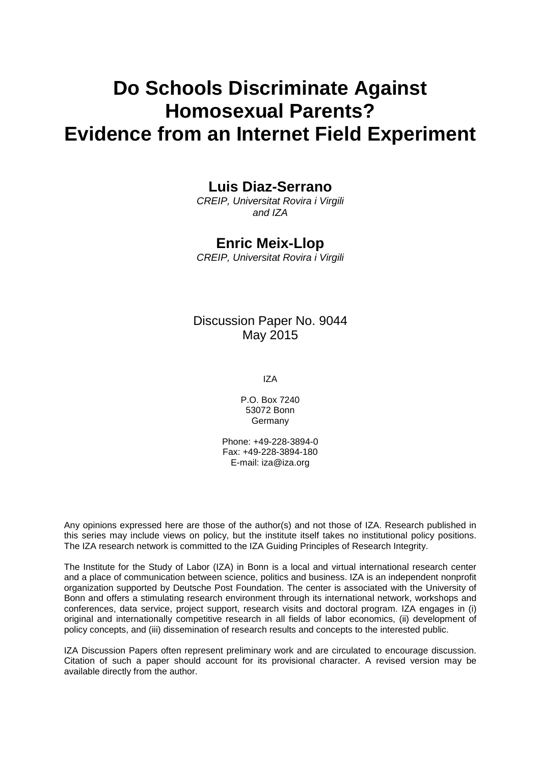# **Do Schools Discriminate Against Homosexual Parents? Evidence from an Internet Field Experiment**

# **Luis Diaz-Serrano**

*CREIP, Universitat Rovira i Virgili and IZA*

### **Enric Meix-Llop**

*CREIP, Universitat Rovira i Virgili*

### Discussion Paper No. 9044 May 2015

IZA

P.O. Box 7240 53072 Bonn Germany

Phone: +49-228-3894-0 Fax: +49-228-3894-180 E-mail: iza@iza.org

Any opinions expressed here are those of the author(s) and not those of IZA. Research published in this series may include views on policy, but the institute itself takes no institutional policy positions. The IZA research network is committed to the IZA Guiding Principles of Research Integrity.

The Institute for the Study of Labor (IZA) in Bonn is a local and virtual international research center and a place of communication between science, politics and business. IZA is an independent nonprofit organization supported by Deutsche Post Foundation. The center is associated with the University of Bonn and offers a stimulating research environment through its international network, workshops and conferences, data service, project support, research visits and doctoral program. IZA engages in (i) original and internationally competitive research in all fields of labor economics, (ii) development of policy concepts, and (iii) dissemination of research results and concepts to the interested public.

<span id="page-1-0"></span>IZA Discussion Papers often represent preliminary work and are circulated to encourage discussion. Citation of such a paper should account for its provisional character. A revised version may be available directly from the author.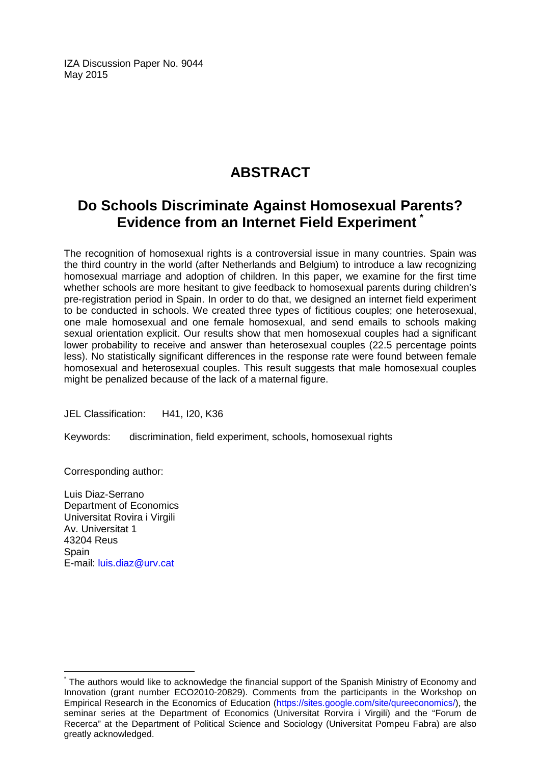IZA Discussion Paper No. 9044 May 2015

# **ABSTRACT**

# **Do Schools Discriminate Against Homosexual Parents? Evidence from an Internet Field Experiment [\\*](#page-1-0)**

The recognition of homosexual rights is a controversial issue in many countries. Spain was the third country in the world (after Netherlands and Belgium) to introduce a law recognizing homosexual marriage and adoption of children. In this paper, we examine for the first time whether schools are more hesitant to give feedback to homosexual parents during children's pre-registration period in Spain. In order to do that, we designed an internet field experiment to be conducted in schools. We created three types of fictitious couples; one heterosexual, one male homosexual and one female homosexual, and send emails to schools making sexual orientation explicit. Our results show that men homosexual couples had a significant lower probability to receive and answer than heterosexual couples (22.5 percentage points less). No statistically significant differences in the response rate were found between female homosexual and heterosexual couples. This result suggests that male homosexual couples might be penalized because of the lack of a maternal figure.

JEL Classification: H41, I20, K36

Keywords: discrimination, field experiment, schools, homosexual rights

Corresponding author:

Luis Diaz-Serrano Department of Economics Universitat Rovira i Virgili Av. Universitat 1 43204 Reus **Spain** E-mail: [luis.diaz@urv.cat](mailto:luis.diaz@urv.cat)

The authors would like to acknowledge the financial support of the Spanish Ministry of Economy and Innovation (grant number ECO2010-20829). Comments from the participants in the Workshop on Empirical Research in the Economics of Education [\(https://sites.google.com/site/qureeconomics/\)](https://sites.google.com/site/qureeconomics/), the seminar series at the Department of Economics (Universitat Rorvira i Virgili) and the "Forum de Recerca" at the Department of Political Science and Sociology (Universitat Pompeu Fabra) are also greatly acknowledged.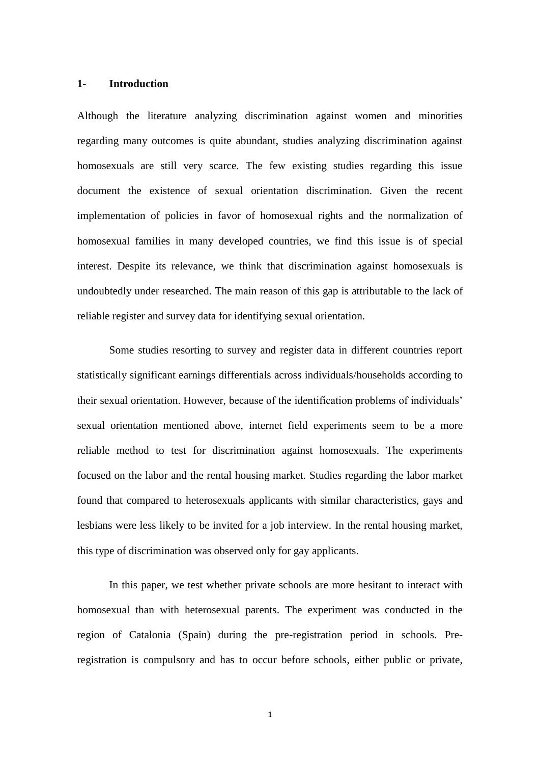#### **1- Introduction**

Although the literature analyzing discrimination against women and minorities regarding many outcomes is quite abundant, studies analyzing discrimination against homosexuals are still very scarce. The few existing studies regarding this issue document the existence of sexual orientation discrimination. Given the recent implementation of policies in favor of homosexual rights and the normalization of homosexual families in many developed countries, we find this issue is of special interest. Despite its relevance, we think that discrimination against homosexuals is undoubtedly under researched. The main reason of this gap is attributable to the lack of reliable register and survey data for identifying sexual orientation.

Some studies resorting to survey and register data in different countries report statistically significant earnings differentials across individuals/households according to their sexual orientation. However, because of the identification problems of individuals' sexual orientation mentioned above, internet field experiments seem to be a more reliable method to test for discrimination against homosexuals. The experiments focused on the labor and the rental housing market. Studies regarding the labor market found that compared to heterosexuals applicants with similar characteristics, gays and lesbians were less likely to be invited for a job interview. In the rental housing market, this type of discrimination was observed only for gay applicants.

In this paper, we test whether private schools are more hesitant to interact with homosexual than with heterosexual parents. The experiment was conducted in the region of Catalonia (Spain) during the pre-registration period in schools. Preregistration is compulsory and has to occur before schools, either public or private,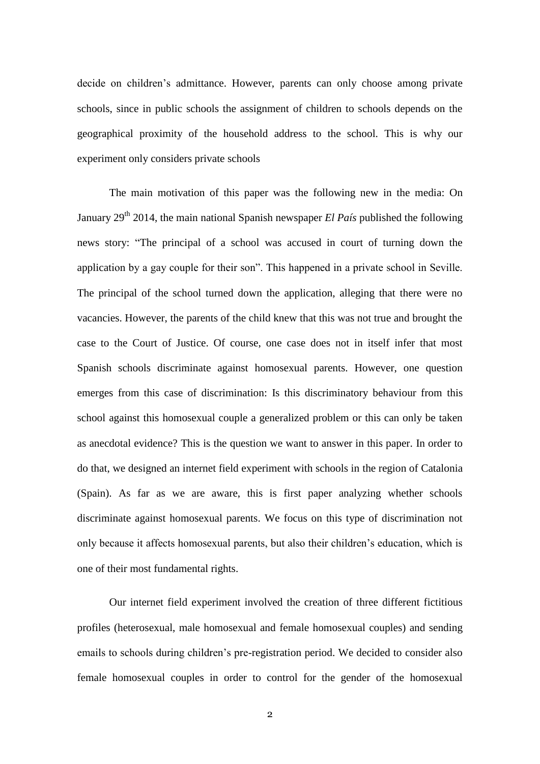decide on children's admittance. However, parents can only choose among private schools, since in public schools the assignment of children to schools depends on the geographical proximity of the household address to the school. This is why our experiment only considers private schools

The main motivation of this paper was the following new in the media: On January 29<sup>th</sup> 2014, the main national Spanish newspaper *El País* published the following news story: "The principal of a school was accused in court of turning down the application by a gay couple for their son". This happened in a private school in Seville. The principal of the school turned down the application, alleging that there were no vacancies. However, the parents of the child knew that this was not true and brought the case to the Court of Justice. Of course, one case does not in itself infer that most Spanish schools discriminate against homosexual parents. However, one question emerges from this case of discrimination: Is this discriminatory behaviour from this school against this homosexual couple a generalized problem or this can only be taken as anecdotal evidence? This is the question we want to answer in this paper. In order to do that, we designed an internet field experiment with schools in the region of Catalonia (Spain). As far as we are aware, this is first paper analyzing whether schools discriminate against homosexual parents. We focus on this type of discrimination not only because it affects homosexual parents, but also their children's education, which is one of their most fundamental rights.

Our internet field experiment involved the creation of three different fictitious profiles (heterosexual, male homosexual and female homosexual couples) and sending emails to schools during children's pre-registration period. We decided to consider also female homosexual couples in order to control for the gender of the homosexual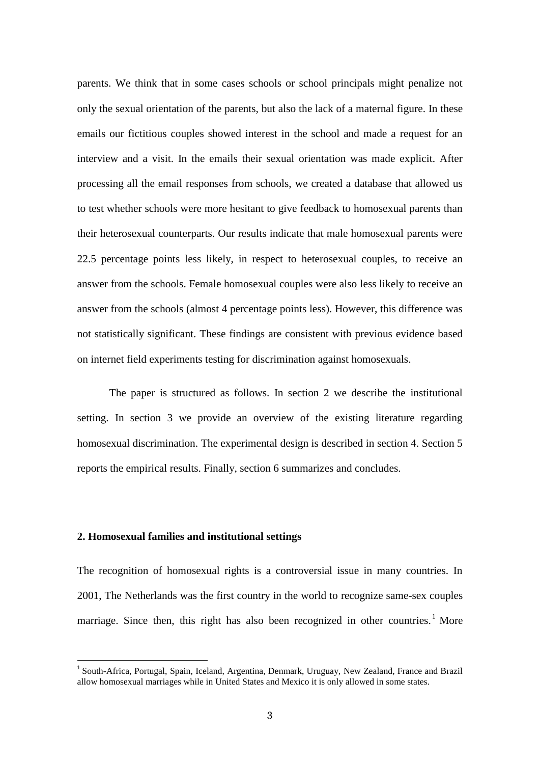parents. We think that in some cases schools or school principals might penalize not only the sexual orientation of the parents, but also the lack of a maternal figure. In these emails our fictitious couples showed interest in the school and made a request for an interview and a visit. In the emails their sexual orientation was made explicit. After processing all the email responses from schools, we created a database that allowed us to test whether schools were more hesitant to give feedback to homosexual parents than their heterosexual counterparts. Our results indicate that male homosexual parents were 22.5 percentage points less likely, in respect to heterosexual couples, to receive an answer from the schools. Female homosexual couples were also less likely to receive an answer from the schools (almost 4 percentage points less). However, this difference was not statistically significant. These findings are consistent with previous evidence based on internet field experiments testing for discrimination against homosexuals.

The paper is structured as follows. In section 2 we describe the institutional setting. In section 3 we provide an overview of the existing literature regarding homosexual discrimination. The experimental design is described in section 4. Section 5 reports the empirical results. Finally, section 6 summarizes and concludes.

#### **2. Homosexual families and institutional settings**

 $\overline{\phantom{a}}$ 

The recognition of homosexual rights is a controversial issue in many countries. In 2001, The Netherlands was the first country in the world to recognize same-sex couples marriage. Since then, this right has also been recognized in other countries.<sup>1</sup> More

<sup>&</sup>lt;sup>1</sup> South-Africa, Portugal, Spain, Iceland, Argentina, Denmark, Uruguay, New Zealand, France and Brazil allow homosexual marriages while in United States and Mexico it is only allowed in some states.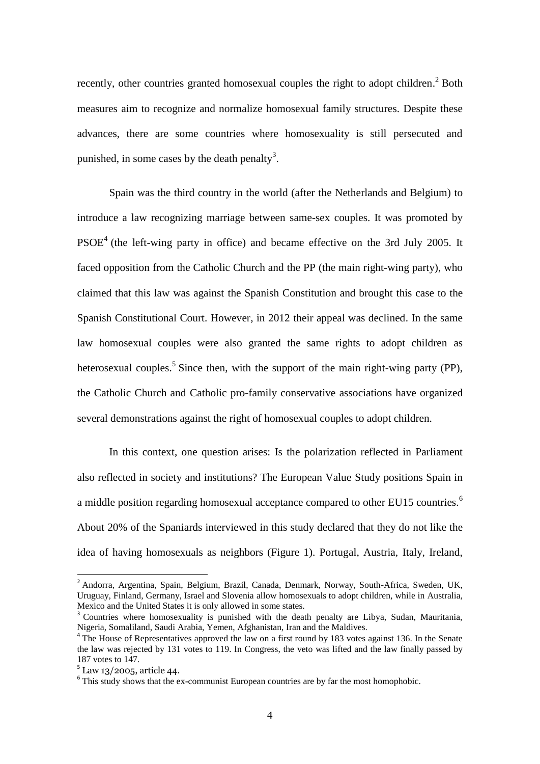recently, other countries granted homosexual couples the right to adopt children.<sup>2</sup> Both measures aim to recognize and normalize homosexual family structures. Despite these advances, there are some countries where homosexuality is still persecuted and punished, in some cases by the death penalty<sup>3</sup>.

Spain was the third country in the world (after the Netherlands and Belgium) to introduce a law recognizing marriage between same-sex couples. It was promoted by  $PSOE<sup>4</sup>$  (the left-wing party in office) and became effective on the 3rd July 2005. It faced opposition from the Catholic Church and the PP (the main right-wing party), who claimed that this law was against the Spanish Constitution and brought this case to the Spanish Constitutional Court. However, in 2012 their appeal was declined. In the same law homosexual couples were also granted the same rights to adopt children as heterosexual couples.<sup>5</sup> Since then, with the support of the main right-wing party (PP), the Catholic Church and Catholic pro-family conservative associations have organized several demonstrations against the right of homosexual couples to adopt children.

In this context, one question arises: Is the polarization reflected in Parliament also reflected in society and institutions? The European Value Study positions Spain in a middle position regarding homosexual acceptance compared to other EU15 countries.<sup>6</sup> About 20% of the Spaniards interviewed in this study declared that they do not like the idea of having homosexuals as neighbors (Figure 1). Portugal, Austria, Italy, Ireland,

1

<sup>&</sup>lt;sup>2</sup> Andorra, Argentina, Spain, Belgium, Brazil, Canada, Denmark, Norway, South-Africa, Sweden, UK, Uruguay, Finland, Germany, Israel and Slovenia allow homosexuals to adopt children, while in Australia, Mexico and the United States it is only allowed in some states.

<sup>&</sup>lt;sup>3</sup> Countries where homosexuality is punished with the death penalty are Libya, Sudan, Mauritania, Nigeria, Somaliland, Saudi Arabia, Yemen, Afghanistan, Iran and the Maldives.<br><sup>4</sup> The House of Representatives approved the law on a first round by 183 votes against 136. In the Senate

the law was rejected by 131 votes to 119. In Congress, the veto was lifted and the law finally passed by 187 votes to 147.

 $5$  Law 13/2005, article 44.

<sup>&</sup>lt;sup>6</sup> This study shows that the ex-communist European countries are by far the most homophobic.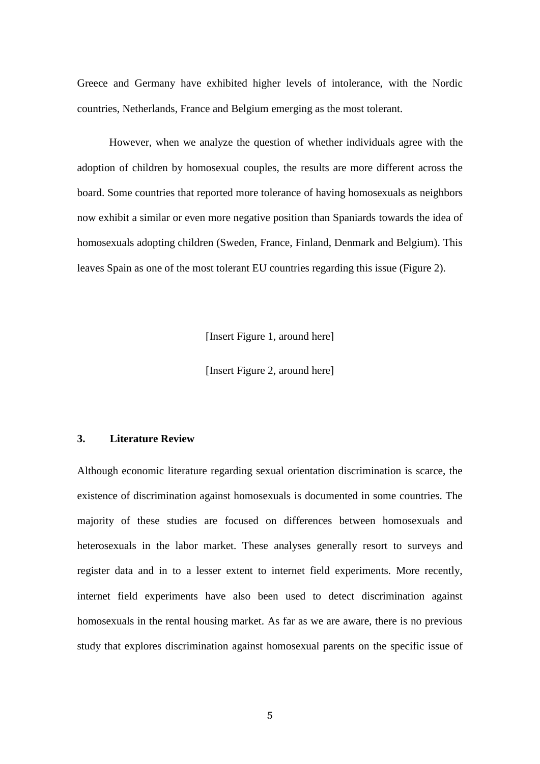Greece and Germany have exhibited higher levels of intolerance, with the Nordic countries, Netherlands, France and Belgium emerging as the most tolerant.

However, when we analyze the question of whether individuals agree with the adoption of children by homosexual couples, the results are more different across the board. Some countries that reported more tolerance of having homosexuals as neighbors now exhibit a similar or even more negative position than Spaniards towards the idea of homosexuals adopting children (Sweden, France, Finland, Denmark and Belgium). This leaves Spain as one of the most tolerant EU countries regarding this issue (Figure 2).

[Insert Figure 1, around here]

[Insert Figure 2, around here]

#### **3. Literature Review**

Although economic literature regarding sexual orientation discrimination is scarce, the existence of discrimination against homosexuals is documented in some countries. The majority of these studies are focused on differences between homosexuals and heterosexuals in the labor market. These analyses generally resort to surveys and register data and in to a lesser extent to internet field experiments. More recently, internet field experiments have also been used to detect discrimination against homosexuals in the rental housing market. As far as we are aware, there is no previous study that explores discrimination against homosexual parents on the specific issue of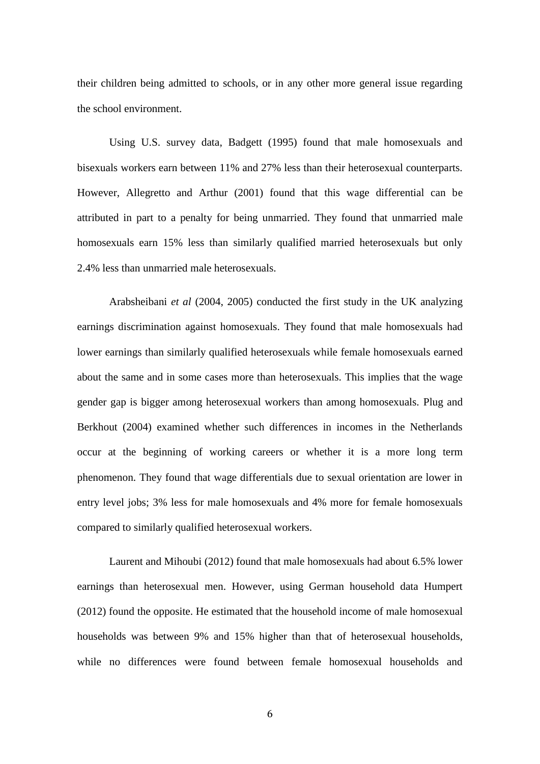their children being admitted to schools, or in any other more general issue regarding the school environment.

Using U.S. survey data, Badgett (1995) found that male homosexuals and bisexuals workers earn between 11% and 27% less than their heterosexual counterparts. However, Allegretto and Arthur (2001) found that this wage differential can be attributed in part to a penalty for being unmarried. They found that unmarried male homosexuals earn 15% less than similarly qualified married heterosexuals but only 2.4% less than unmarried male heterosexuals.

Arabsheibani *et al* (2004, 2005) conducted the first study in the UK analyzing earnings discrimination against homosexuals. They found that male homosexuals had lower earnings than similarly qualified heterosexuals while female homosexuals earned about the same and in some cases more than heterosexuals. This implies that the wage gender gap is bigger among heterosexual workers than among homosexuals. Plug and Berkhout (2004) examined whether such differences in incomes in the Netherlands occur at the beginning of working careers or whether it is a more long term phenomenon. They found that wage differentials due to sexual orientation are lower in entry level jobs; 3% less for male homosexuals and 4% more for female homosexuals compared to similarly qualified heterosexual workers.

Laurent and Mihoubi (2012) found that male homosexuals had about 6.5% lower earnings than heterosexual men. However, using German household data Humpert (2012) found the opposite. He estimated that the household income of male homosexual households was between 9% and 15% higher than that of heterosexual households, while no differences were found between female homosexual households and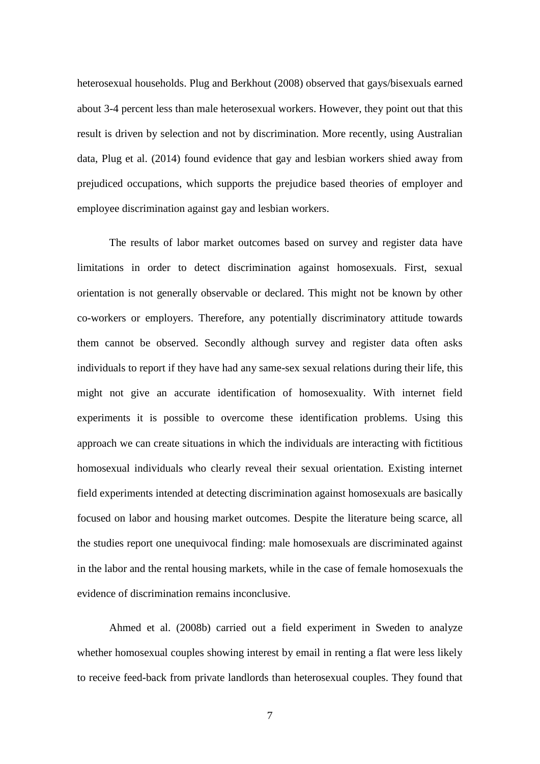heterosexual households. Plug and Berkhout (2008) observed that gays/bisexuals earned about 3-4 percent less than male heterosexual workers. However, they point out that this result is driven by selection and not by discrimination. More recently, using Australian data, Plug et al. (2014) found evidence that gay and lesbian workers shied away from prejudiced occupations, which supports the prejudice based theories of employer and employee discrimination against gay and lesbian workers.

The results of labor market outcomes based on survey and register data have limitations in order to detect discrimination against homosexuals. First, sexual orientation is not generally observable or declared. This might not be known by other co-workers or employers. Therefore, any potentially discriminatory attitude towards them cannot be observed. Secondly although survey and register data often asks individuals to report if they have had any same-sex sexual relations during their life, this might not give an accurate identification of homosexuality. With internet field experiments it is possible to overcome these identification problems. Using this approach we can create situations in which the individuals are interacting with fictitious homosexual individuals who clearly reveal their sexual orientation. Existing internet field experiments intended at detecting discrimination against homosexuals are basically focused on labor and housing market outcomes. Despite the literature being scarce, all the studies report one unequivocal finding: male homosexuals are discriminated against in the labor and the rental housing markets, while in the case of female homosexuals the evidence of discrimination remains inconclusive.

Ahmed et al. (2008b) carried out a field experiment in Sweden to analyze whether homosexual couples showing interest by email in renting a flat were less likely to receive feed-back from private landlords than heterosexual couples. They found that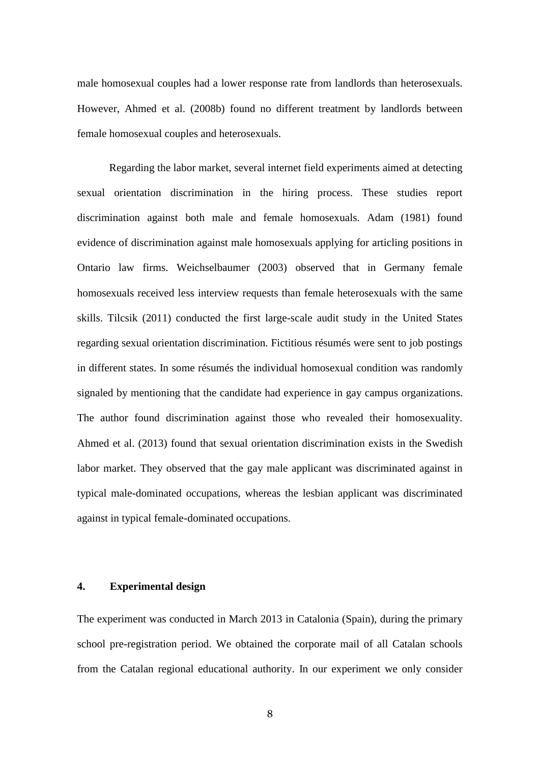male homosexual couples had a lower response rate from landlords than heterosexuals. However, Ahmed et al. (2008b) found no different treatment by landlords between female homosexual couples and heterosexuals.

Regarding the labor market, several internet field experiments aimed at detecting sexual orientation discrimination in the hiring process. These studies report discrimination against both male and female homosexuals. Adam (1981) found evidence of discrimination against male homosexuals applying for articling positions in Ontario law firms. Weichselbaumer (2003) observed that in Germany female homosexuals received less interview requests than female heterosexuals with the same skills. Tilcsik (2011) conducted the first large-scale audit study in the United States regarding sexual orientation discrimination. Fictitious résumés were sent to job postings in different states. In some résumés the individual homosexual condition was randomly signaled by mentioning that the candidate had experience in gay campus organizations. The author found discrimination against those who revealed their homosexuality. Ahmed et al. (2013) found that sexual orientation discrimination exists in the Swedish labor market. They observed that the gay male applicant was discriminated against in typical male-dominated occupations, whereas the lesbian applicant was discriminated against in typical female-dominated occupations.

#### **4. Experimental design**

The experiment was conducted in March 2013 in Catalonia (Spain), during the primary school pre-registration period. We obtained the corporate mail of all Catalan schools from the Catalan regional educational authority. In our experiment we only consider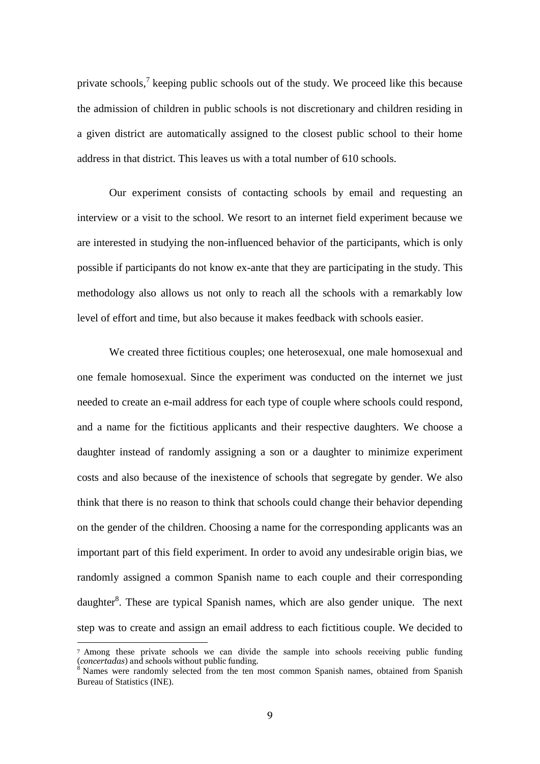private schools,<sup>7</sup> keeping public schools out of the study. We proceed like this because the admission of children in public schools is not discretionary and children residing in a given district are automatically assigned to the closest public school to their home address in that district. This leaves us with a total number of 610 schools.

Our experiment consists of contacting schools by email and requesting an interview or a visit to the school. We resort to an internet field experiment because we are interested in studying the non-influenced behavior of the participants, which is only possible if participants do not know ex-ante that they are participating in the study. This methodology also allows us not only to reach all the schools with a remarkably low level of effort and time, but also because it makes feedback with schools easier.

We created three fictitious couples; one heterosexual, one male homosexual and one female homosexual. Since the experiment was conducted on the internet we just needed to create an e-mail address for each type of couple where schools could respond, and a name for the fictitious applicants and their respective daughters. We choose a daughter instead of randomly assigning a son or a daughter to minimize experiment costs and also because of the inexistence of schools that segregate by gender. We also think that there is no reason to think that schools could change their behavior depending on the gender of the children. Choosing a name for the corresponding applicants was an important part of this field experiment. In order to avoid any undesirable origin bias, we randomly assigned a common Spanish name to each couple and their corresponding daughter<sup>8</sup>. These are typical Spanish names, which are also gender unique. The next step was to create and assign an email address to each fictitious couple. We decided to

**.** 

<sup>7</sup> Among these private schools we can divide the sample into schools receiving public funding (*concertadas*) and schools without public funding.

 $8$  Names were randomly selected from the ten most common Spanish names, obtained from Spanish Bureau of Statistics (INE).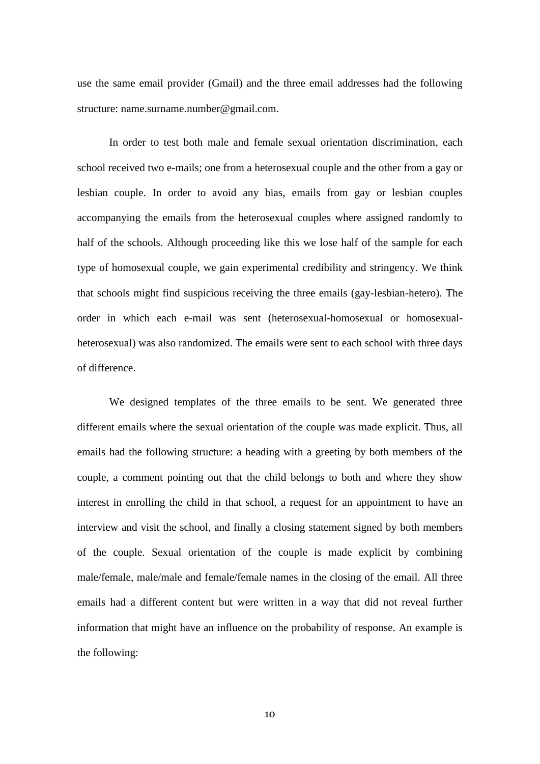use the same email provider (Gmail) and the three email addresses had the following structure: name.surname.number@gmail.com.

In order to test both male and female sexual orientation discrimination, each school received two e-mails; one from a heterosexual couple and the other from a gay or lesbian couple. In order to avoid any bias, emails from gay or lesbian couples accompanying the emails from the heterosexual couples where assigned randomly to half of the schools. Although proceeding like this we lose half of the sample for each type of homosexual couple, we gain experimental credibility and stringency. We think that schools might find suspicious receiving the three emails (gay-lesbian-hetero). The order in which each e-mail was sent (heterosexual-homosexual or homosexualheterosexual) was also randomized. The emails were sent to each school with three days of difference.

We designed templates of the three emails to be sent. We generated three different emails where the sexual orientation of the couple was made explicit. Thus, all emails had the following structure: a heading with a greeting by both members of the couple, a comment pointing out that the child belongs to both and where they show interest in enrolling the child in that school, a request for an appointment to have an interview and visit the school, and finally a closing statement signed by both members of the couple. Sexual orientation of the couple is made explicit by combining male/female, male/male and female/female names in the closing of the email. All three emails had a different content but were written in a way that did not reveal further information that might have an influence on the probability of response. An example is the following: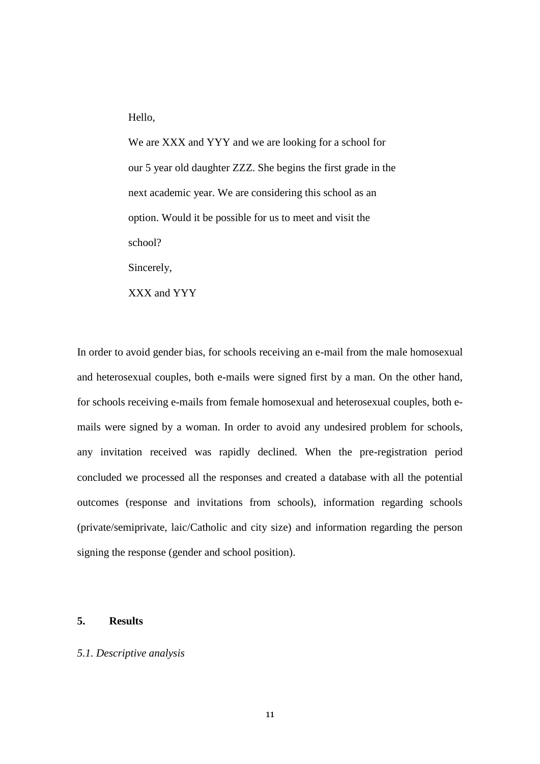Hello,

We are XXX and YYY and we are looking for a school for our 5 year old daughter ZZZ. She begins the first grade in the next academic year. We are considering this school as an option. Would it be possible for us to meet and visit the school?

Sincerely,

XXX and YYY

In order to avoid gender bias, for schools receiving an e-mail from the male homosexual and heterosexual couples, both e-mails were signed first by a man. On the other hand, for schools receiving e-mails from female homosexual and heterosexual couples, both emails were signed by a woman. In order to avoid any undesired problem for schools, any invitation received was rapidly declined. When the pre-registration period concluded we processed all the responses and created a database with all the potential outcomes (response and invitations from schools), information regarding schools (private/semiprivate, laic/Catholic and city size) and information regarding the person signing the response (gender and school position).

#### **5. Results**

#### *5.1. Descriptive analysis*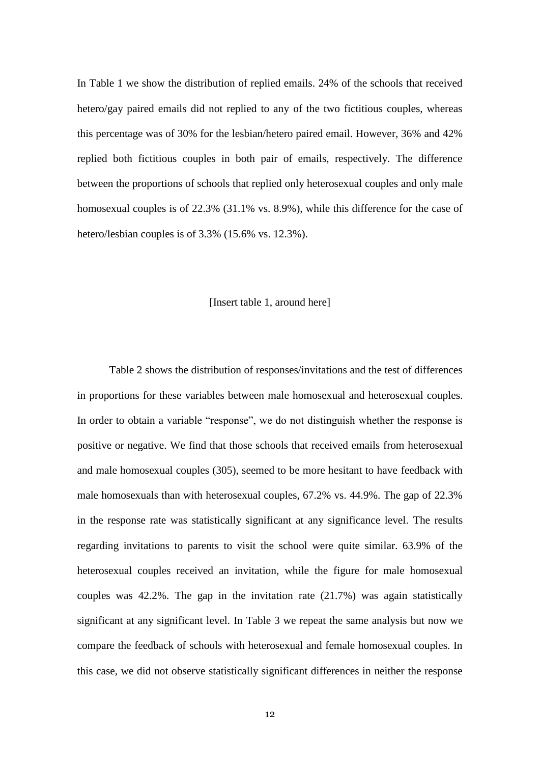In Table 1 we show the distribution of replied emails. 24% of the schools that received hetero/gay paired emails did not replied to any of the two fictitious couples, whereas this percentage was of 30% for the lesbian/hetero paired email. However, 36% and 42% replied both fictitious couples in both pair of emails, respectively. The difference between the proportions of schools that replied only heterosexual couples and only male homosexual couples is of 22.3% (31.1% vs. 8.9%), while this difference for the case of hetero/lesbian couples is of 3.3% (15.6% vs. 12.3%).

#### [Insert table 1, around here]

Table 2 shows the distribution of responses/invitations and the test of differences in proportions for these variables between male homosexual and heterosexual couples. In order to obtain a variable "response", we do not distinguish whether the response is positive or negative. We find that those schools that received emails from heterosexual and male homosexual couples (305), seemed to be more hesitant to have feedback with male homosexuals than with heterosexual couples, 67.2% vs. 44.9%. The gap of 22.3% in the response rate was statistically significant at any significance level. The results regarding invitations to parents to visit the school were quite similar. 63.9% of the heterosexual couples received an invitation, while the figure for male homosexual couples was  $42.2\%$ . The gap in the invitation rate  $(21.7\%)$  was again statistically significant at any significant level. In Table 3 we repeat the same analysis but now we compare the feedback of schools with heterosexual and female homosexual couples. In this case, we did not observe statistically significant differences in neither the response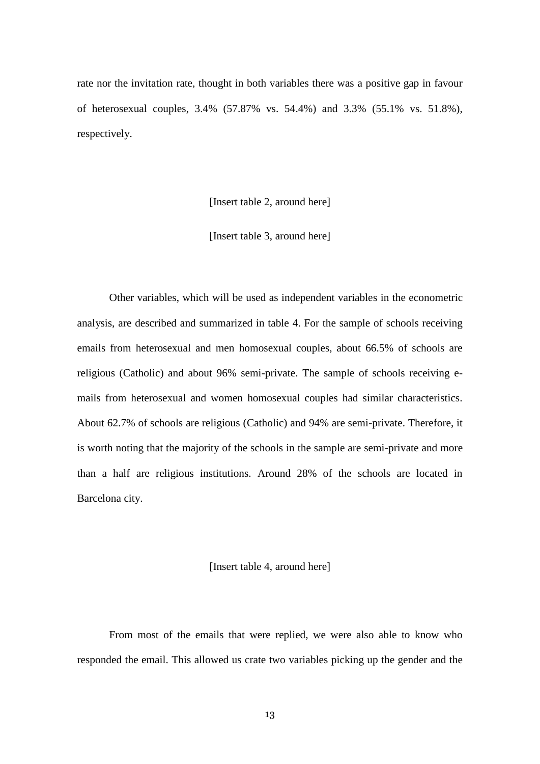rate nor the invitation rate, thought in both variables there was a positive gap in favour of heterosexual couples, 3.4% (57.87% vs. 54.4%) and 3.3% (55.1% vs. 51.8%), respectively.

[Insert table 2, around here]

[Insert table 3, around here]

Other variables, which will be used as independent variables in the econometric analysis, are described and summarized in table 4. For the sample of schools receiving emails from heterosexual and men homosexual couples, about 66.5% of schools are religious (Catholic) and about 96% semi-private. The sample of schools receiving emails from heterosexual and women homosexual couples had similar characteristics. About 62.7% of schools are religious (Catholic) and 94% are semi-private. Therefore, it is worth noting that the majority of the schools in the sample are semi-private and more than a half are religious institutions. Around 28% of the schools are located in Barcelona city.

[Insert table 4, around here]

From most of the emails that were replied, we were also able to know who responded the email. This allowed us crate two variables picking up the gender and the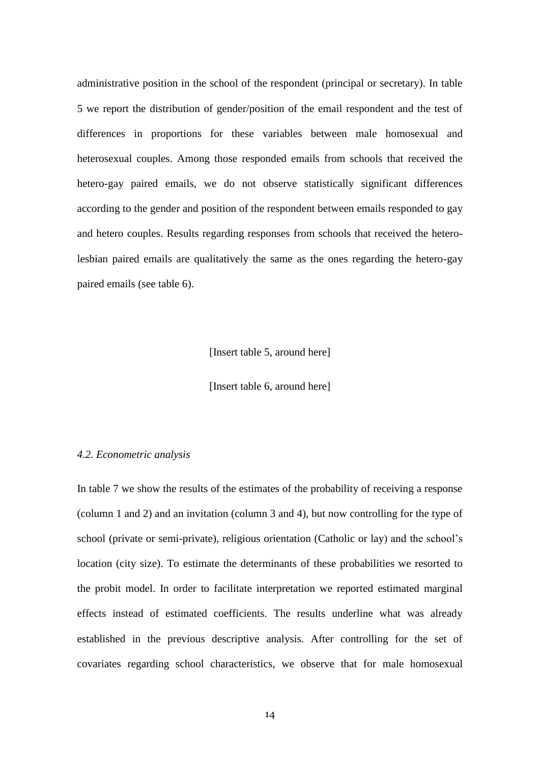administrative position in the school of the respondent (principal or secretary). In table 5 we report the distribution of gender/position of the email respondent and the test of differences in proportions for these variables between male homosexual and heterosexual couples. Among those responded emails from schools that received the hetero-gay paired emails, we do not observe statistically significant differences according to the gender and position of the respondent between emails responded to gay and hetero couples. Results regarding responses from schools that received the heterolesbian paired emails are qualitatively the same as the ones regarding the hetero-gay paired emails (see table 6).

[Insert table 5, around here]

[Insert table 6, around here]

#### *4.2. Econometric analysis*

In table 7 we show the results of the estimates of the probability of receiving a response (column 1 and 2) and an invitation (column 3 and 4), but now controlling for the type of school (private or semi-private), religious orientation (Catholic or lay) and the school's location (city size). To estimate the determinants of these probabilities we resorted to the probit model. In order to facilitate interpretation we reported estimated marginal effects instead of estimated coefficients. The results underline what was already established in the previous descriptive analysis. After controlling for the set of covariates regarding school characteristics, we observe that for male homosexual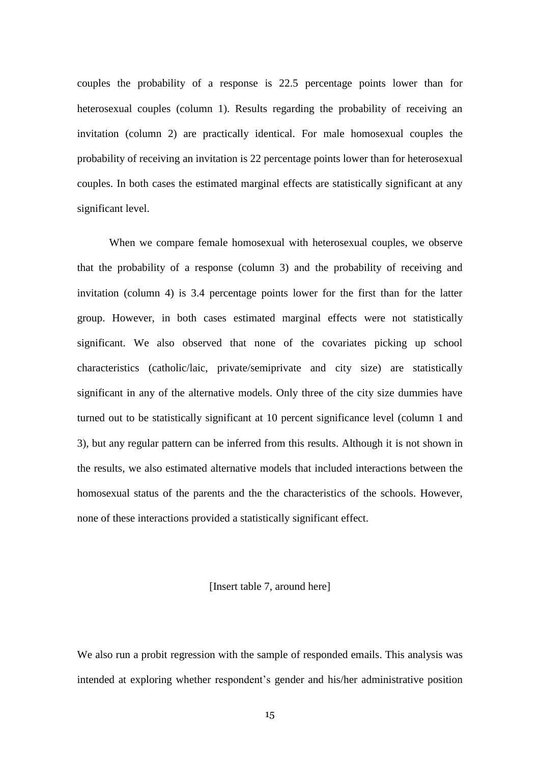couples the probability of a response is 22.5 percentage points lower than for heterosexual couples (column 1). Results regarding the probability of receiving an invitation (column 2) are practically identical. For male homosexual couples the probability of receiving an invitation is 22 percentage points lower than for heterosexual couples. In both cases the estimated marginal effects are statistically significant at any significant level.

When we compare female homosexual with heterosexual couples, we observe that the probability of a response (column 3) and the probability of receiving and invitation (column 4) is 3.4 percentage points lower for the first than for the latter group. However, in both cases estimated marginal effects were not statistically significant. We also observed that none of the covariates picking up school characteristics (catholic/laic, private/semiprivate and city size) are statistically significant in any of the alternative models. Only three of the city size dummies have turned out to be statistically significant at 10 percent significance level (column 1 and 3), but any regular pattern can be inferred from this results. Although it is not shown in the results, we also estimated alternative models that included interactions between the homosexual status of the parents and the the characteristics of the schools. However, none of these interactions provided a statistically significant effect.

#### [Insert table 7, around here]

We also run a probit regression with the sample of responded emails. This analysis was intended at exploring whether respondent's gender and his/her administrative position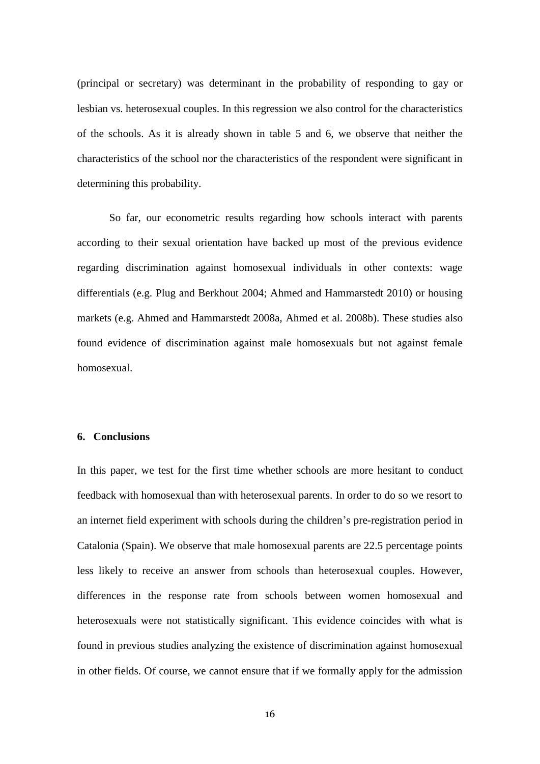(principal or secretary) was determinant in the probability of responding to gay or lesbian vs. heterosexual couples. In this regression we also control for the characteristics of the schools. As it is already shown in table 5 and 6, we observe that neither the characteristics of the school nor the characteristics of the respondent were significant in determining this probability.

So far, our econometric results regarding how schools interact with parents according to their sexual orientation have backed up most of the previous evidence regarding discrimination against homosexual individuals in other contexts: wage differentials (e.g. Plug and Berkhout 2004; Ahmed and Hammarstedt 2010) or housing markets (e.g. Ahmed and Hammarstedt 2008a, Ahmed et al. 2008b). These studies also found evidence of discrimination against male homosexuals but not against female homosexual.

#### **6. Conclusions**

In this paper, we test for the first time whether schools are more hesitant to conduct feedback with homosexual than with heterosexual parents. In order to do so we resort to an internet field experiment with schools during the children's pre-registration period in Catalonia (Spain). We observe that male homosexual parents are 22.5 percentage points less likely to receive an answer from schools than heterosexual couples. However, differences in the response rate from schools between women homosexual and heterosexuals were not statistically significant. This evidence coincides with what is found in previous studies analyzing the existence of discrimination against homosexual in other fields. Of course, we cannot ensure that if we formally apply for the admission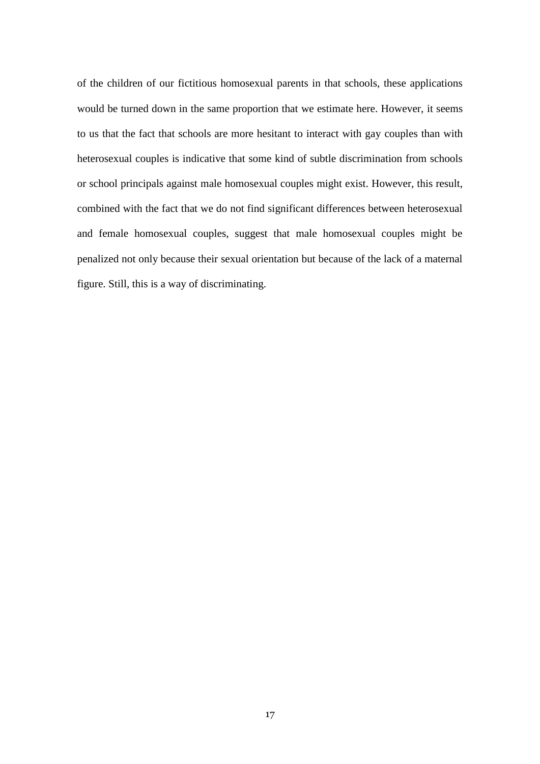of the children of our fictitious homosexual parents in that schools, these applications would be turned down in the same proportion that we estimate here. However, it seems to us that the fact that schools are more hesitant to interact with gay couples than with heterosexual couples is indicative that some kind of subtle discrimination from schools or school principals against male homosexual couples might exist. However, this result, combined with the fact that we do not find significant differences between heterosexual and female homosexual couples, suggest that male homosexual couples might be penalized not only because their sexual orientation but because of the lack of a maternal figure. Still, this is a way of discriminating.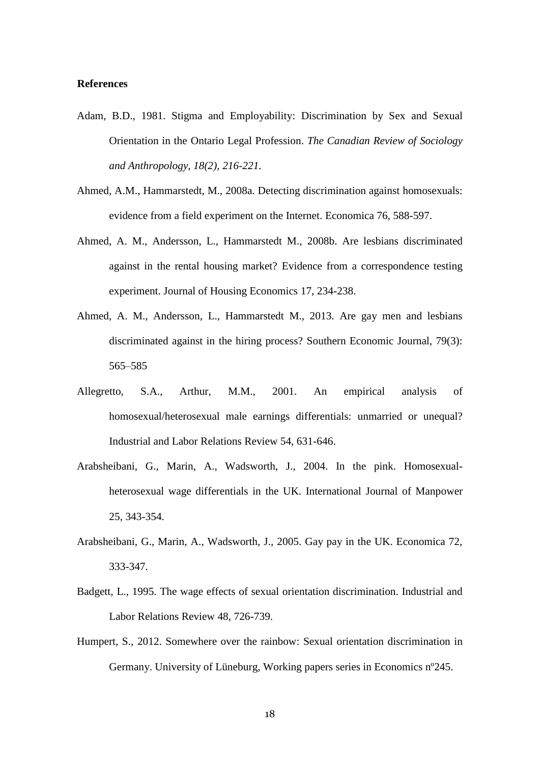#### **References**

- Adam, B.D., 1981. Stigma and Employability: Discrimination by Sex and Sexual Orientation in the Ontario Legal Profession. *The Canadian Review of Sociology and Anthropology, 18(2), 216-221.*
- Ahmed, A.M., Hammarstedt, M., 2008a. Detecting discrimination against homosexuals: evidence from a field experiment on the Internet. Economica 76, 588-597.
- Ahmed, A. M., Andersson, L., Hammarstedt M., 2008b. Are lesbians discriminated against in the rental housing market? Evidence from a correspondence testing experiment. Journal of Housing Economics 17, 234-238.
- Ahmed, A. M., Andersson, L., Hammarstedt M., 2013. Are gay men and lesbians discriminated against in the hiring process? Southern Economic Journal, 79(3): 565–585
- Allegretto, S.A., Arthur, M.M., 2001. An empirical analysis of homosexual/heterosexual male earnings differentials: unmarried or unequal? Industrial and Labor Relations Review 54, 631-646.
- Arabsheibani, G., Marin, A., Wadsworth, J., 2004. In the pink. Homosexualheterosexual wage differentials in the UK. International Journal of Manpower 25, 343-354.
- Arabsheibani, G., Marin, A., Wadsworth, J., 2005. Gay pay in the UK. Economica 72, 333-347.
- Badgett, L., 1995. The wage effects of sexual orientation discrimination. Industrial and Labor Relations Review 48, 726-739.
- Humpert, S., 2012. Somewhere over the rainbow: Sexual orientation discrimination in Germany. University of Lüneburg, Working papers series in Economics nº245.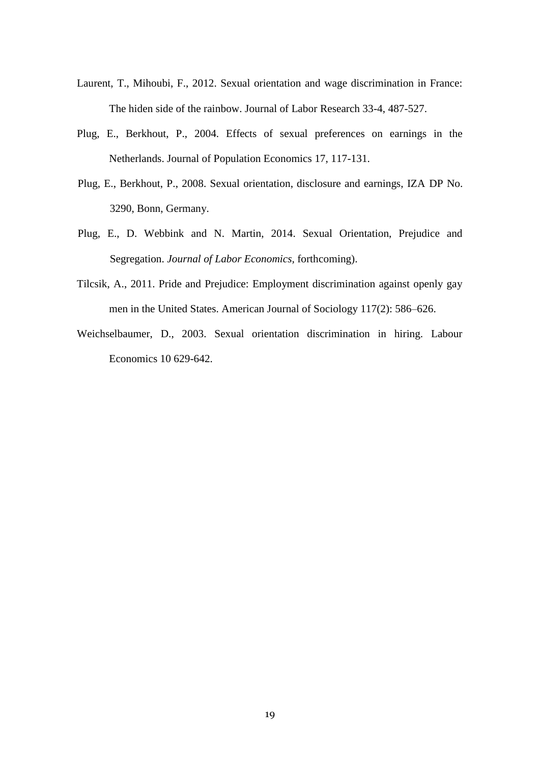- Laurent, T., Mihoubi, F., 2012. Sexual orientation and wage discrimination in France: The hiden side of the rainbow. Journal of Labor Research 33-4, 487-527.
- Plug, E., Berkhout, P., 2004. Effects of sexual preferences on earnings in the Netherlands. Journal of Population Economics 17, 117-131.
- Plug, E., Berkhout, P., 2008. Sexual orientation, disclosure and earnings, IZA DP No. 3290, Bonn, Germany.
- Plug, E., D. Webbink and N. Martin, 2014. Sexual Orientation, Prejudice and Segregation. *Journal of Labor Economics,* forthcoming).
- Tilcsik, A., 2011. Pride and Prejudice: Employment discrimination against openly gay men in the United States. American Journal of Sociology 117(2): 586–626.
- Weichselbaumer, D., 2003. Sexual orientation discrimination in hiring. Labour Economics 10 629-642.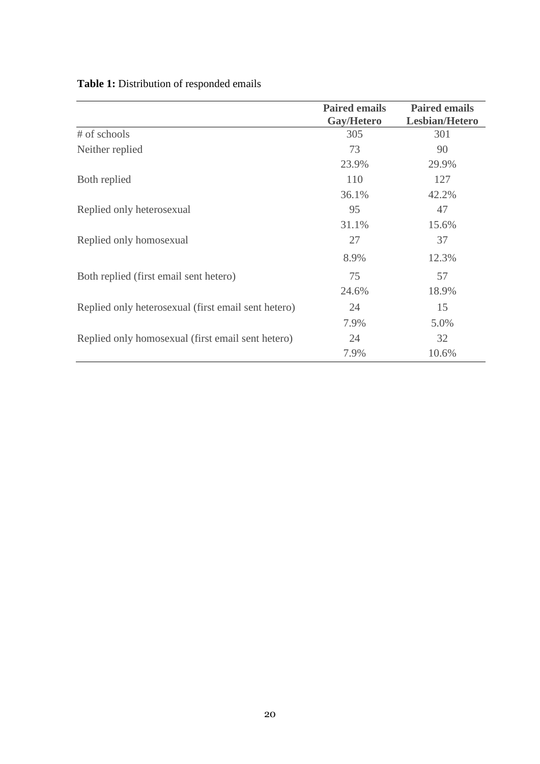|                                                     | <b>Paired emails</b> | <b>Paired emails</b>  |
|-----------------------------------------------------|----------------------|-----------------------|
|                                                     | Gay/Hetero           | <b>Lesbian/Hetero</b> |
| # of schools                                        | 305                  | 301                   |
| Neither replied                                     | 73                   | 90                    |
|                                                     | 23.9%                | 29.9%                 |
| Both replied                                        | 110                  | 127                   |
|                                                     | 36.1%                | 42.2%                 |
| Replied only heterosexual                           | 95                   | 47                    |
|                                                     | 31.1%                | 15.6%                 |
| Replied only homosexual                             | 27                   | 37                    |
|                                                     | 8.9%                 | 12.3%                 |
| Both replied (first email sent hetero)              | 75                   | 57                    |
|                                                     | 24.6%                | 18.9%                 |
| Replied only heterosexual (first email sent hetero) | 24                   | 15                    |
|                                                     | 7.9%                 | 5.0%                  |
| Replied only homosexual (first email sent hetero)   | 24                   | 32                    |
|                                                     | 7.9%                 | 10.6%                 |

# **Table 1:** Distribution of responded emails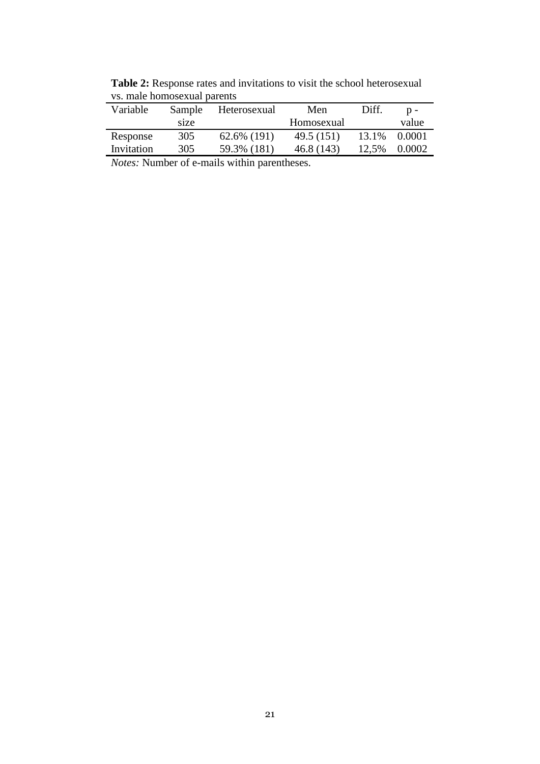**Table 2:** Response rates and invitations to visit the school heterosexual vs. male homosexual parents

| Sample | Heterosexual | Men        | Diff. | $p -$  |
|--------|--------------|------------|-------|--------|
| size   |              | Homosexual |       | value  |
| 305    | 62.6% (191)  | 49.5 (151) | 13.1% | 0.0001 |
| 305    | 59.3% (181)  | 46.8(143)  | 12.5% | 0.0002 |
|        |              |            |       |        |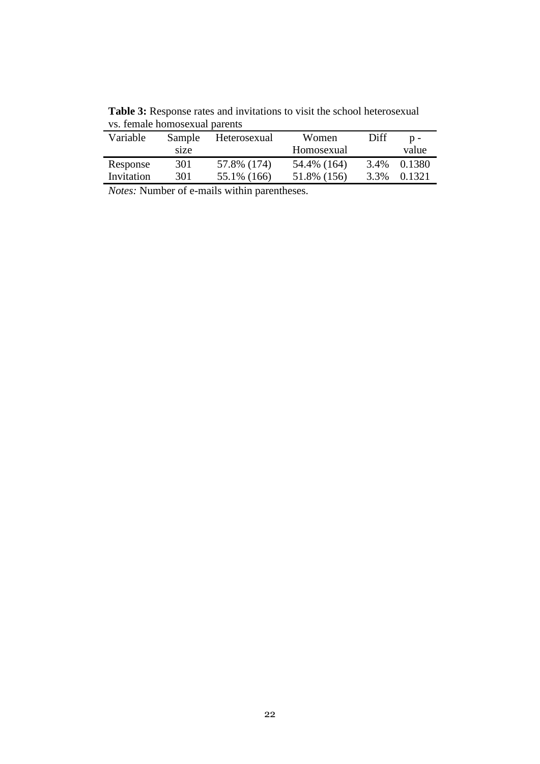| Variable   | Sample | Heterosexual | Women       | Diff | $n -$  |
|------------|--------|--------------|-------------|------|--------|
|            | size   |              | Homosexual  |      | value  |
| Response   | 301    | 57.8% (174)  | 54.4% (164) | 3.4% | 0.1380 |
| Invitation | 301    | 55.1% (166)  | 51.8% (156) | 3.3% | 0.1321 |

Table 3: Response rates and invitations to visit the school heterosexual vs. female homosexual parents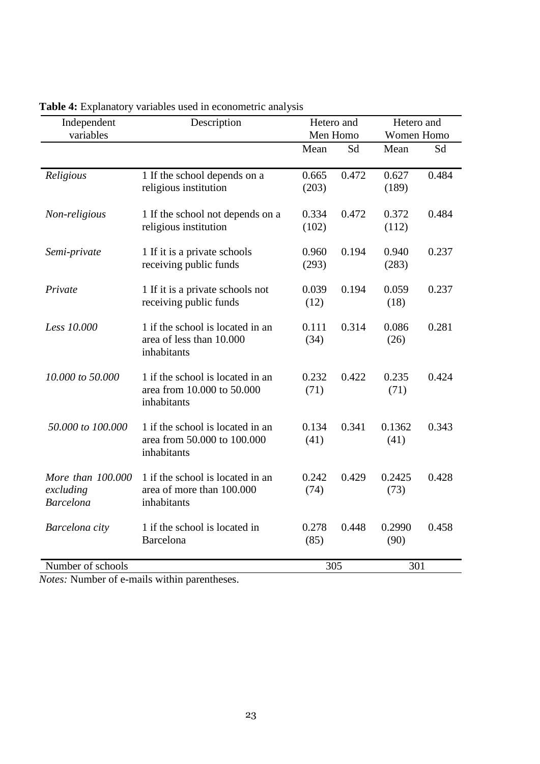| Independent<br>variables                           | Description                                                                    |                | Hetero and<br>Men Homo |                | Hetero and<br>Women Homo |  |
|----------------------------------------------------|--------------------------------------------------------------------------------|----------------|------------------------|----------------|--------------------------|--|
|                                                    |                                                                                | Mean           | Sd                     | Mean           | Sd                       |  |
| Religious                                          | 1 If the school depends on a<br>religious institution                          | 0.665<br>(203) | 0.472                  | 0.627<br>(189) | 0.484                    |  |
| Non-religious                                      | 1 If the school not depends on a<br>religious institution                      | 0.334<br>(102) | 0.472                  | 0.372<br>(112) | 0.484                    |  |
| Semi-private                                       | 1 If it is a private schools<br>receiving public funds                         | 0.960<br>(293) | 0.194                  | 0.940<br>(283) | 0.237                    |  |
| Private                                            | 1 If it is a private schools not<br>receiving public funds                     | 0.039<br>(12)  | 0.194                  | 0.059<br>(18)  | 0.237                    |  |
| Less 10.000                                        | 1 if the school is located in an<br>area of less than 10.000<br>inhabitants    | 0.111<br>(34)  | 0.314                  | 0.086<br>(26)  | 0.281                    |  |
| 10,000 to 50,000                                   | 1 if the school is located in an<br>area from 10.000 to 50.000<br>inhabitants  | 0.232<br>(71)  | 0.422                  | 0.235<br>(71)  | 0.424                    |  |
| 50,000 to 100,000                                  | 1 if the school is located in an<br>area from 50.000 to 100.000<br>inhabitants | 0.134<br>(41)  | 0.341                  | 0.1362<br>(41) | 0.343                    |  |
| More than 100.000<br>excluding<br><b>Barcelona</b> | 1 if the school is located in an<br>area of more than 100.000<br>inhabitants   | 0.242<br>(74)  | 0.429                  | 0.2425<br>(73) | 0.428                    |  |
| Barcelona city                                     | 1 if the school is located in<br>Barcelona                                     | 0.278<br>(85)  | 0.448                  | 0.2990<br>(90) | 0.458                    |  |
| Number of schools                                  |                                                                                |                | 305                    | 301            |                          |  |

**Table 4:** Explanatory variables used in econometric analysis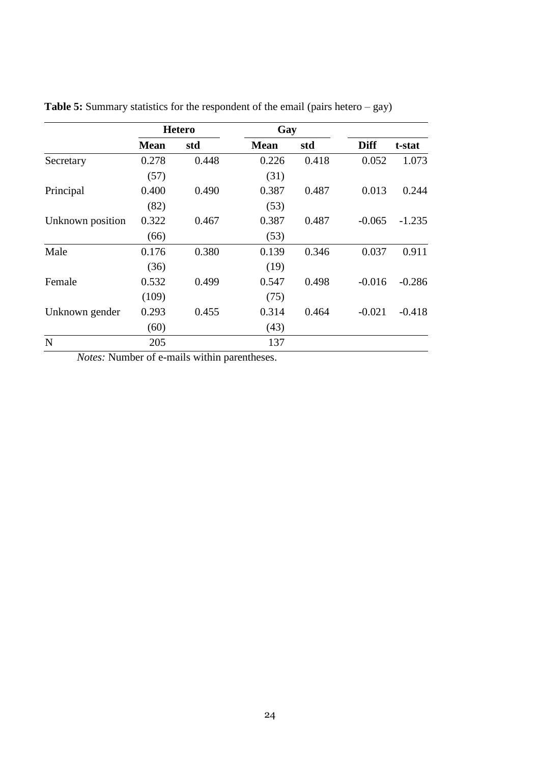|                  |             | <b>Hetero</b> | Gay         |       |             |          |
|------------------|-------------|---------------|-------------|-------|-------------|----------|
|                  | <b>Mean</b> | std           | <b>Mean</b> | std   | <b>Diff</b> | t-stat   |
| Secretary        | 0.278       | 0.448         | 0.226       | 0.418 | 0.052       | 1.073    |
|                  | (57)        |               | (31)        |       |             |          |
| Principal        | 0.400       | 0.490         | 0.387       | 0.487 | 0.013       | 0.244    |
|                  | (82)        |               | (53)        |       |             |          |
| Unknown position | 0.322       | 0.467         | 0.387       | 0.487 | $-0.065$    | $-1.235$ |
|                  | (66)        |               | (53)        |       |             |          |
| Male             | 0.176       | 0.380         | 0.139       | 0.346 | 0.037       | 0.911    |
|                  | (36)        |               | (19)        |       |             |          |
| Female           | 0.532       | 0.499         | 0.547       | 0.498 | $-0.016$    | $-0.286$ |
|                  | (109)       |               | (75)        |       |             |          |
| Unknown gender   | 0.293       | 0.455         | 0.314       | 0.464 | $-0.021$    | $-0.418$ |
|                  | (60)        |               | (43)        |       |             |          |
| N                | 205         |               | 137         |       |             |          |

**Table 5:** Summary statistics for the respondent of the email (pairs hetero – gay)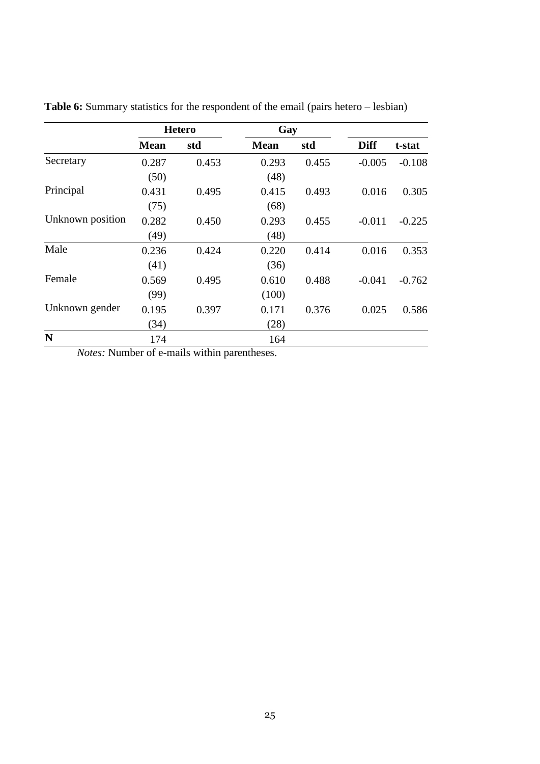|                  |             | <b>Hetero</b> | Gay         |       |             |          |
|------------------|-------------|---------------|-------------|-------|-------------|----------|
|                  | <b>Mean</b> | std           | <b>Mean</b> | std   | <b>Diff</b> | t-stat   |
| Secretary        | 0.287       | 0.453         | 0.293       | 0.455 | $-0.005$    | $-0.108$ |
|                  | (50)        |               | (48)        |       |             |          |
| Principal        | 0.431       | 0.495         | 0.415       | 0.493 | 0.016       | 0.305    |
|                  | (75)        |               | (68)        |       |             |          |
| Unknown position | 0.282       | 0.450         | 0.293       | 0.455 | $-0.011$    | $-0.225$ |
|                  | (49)        |               | (48)        |       |             |          |
| Male             | 0.236       | 0.424         | 0.220       | 0.414 | 0.016       | 0.353    |
|                  | (41)        |               | (36)        |       |             |          |
| Female           | 0.569       | 0.495         | 0.610       | 0.488 | $-0.041$    | $-0.762$ |
|                  | (99)        |               | (100)       |       |             |          |
| Unknown gender   | 0.195       | 0.397         | 0.171       | 0.376 | 0.025       | 0.586    |
|                  | (34)        |               | (28)        |       |             |          |
| $\mathbf N$      | 174         |               | 164         |       |             |          |

**Table 6:** Summary statistics for the respondent of the email (pairs hetero – lesbian)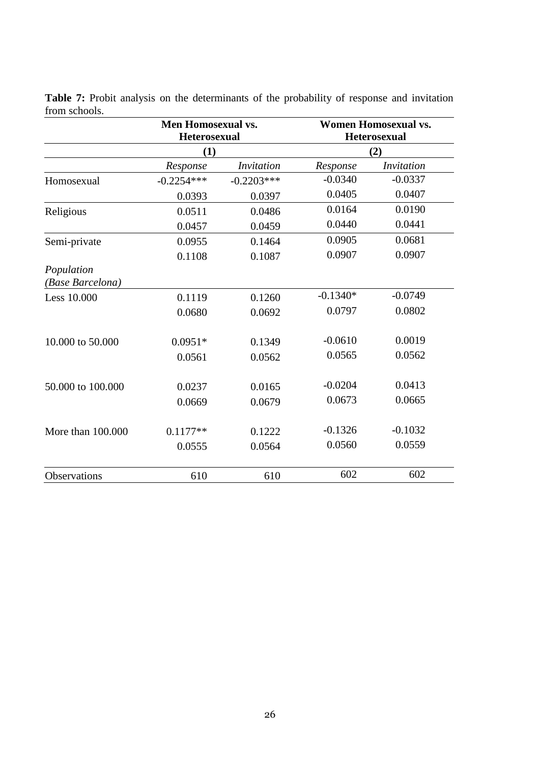|                                | <b>Men Homosexual vs.</b><br><b>Heterosexual</b> |                   | <b>Women Homosexual vs.</b><br><b>Heterosexual</b><br>(2) |                   |  |
|--------------------------------|--------------------------------------------------|-------------------|-----------------------------------------------------------|-------------------|--|
|                                | (1)                                              |                   |                                                           |                   |  |
|                                | Response                                         | <i>Invitation</i> | Response                                                  | <i>Invitation</i> |  |
| Homosexual                     | $-0.2254***$                                     | $-0.2203***$      | $-0.0340$                                                 | $-0.0337$         |  |
|                                | 0.0393                                           | 0.0397            | 0.0405                                                    | 0.0407            |  |
| Religious                      | 0.0511                                           | 0.0486            | 0.0164                                                    | 0.0190            |  |
|                                | 0.0457                                           | 0.0459            | 0.0440                                                    | 0.0441            |  |
| Semi-private                   | 0.0955                                           | 0.1464            | 0.0905                                                    | 0.0681            |  |
|                                | 0.1108                                           | 0.1087            | 0.0907                                                    | 0.0907            |  |
| Population<br>(Base Barcelona) |                                                  |                   |                                                           |                   |  |
| Less 10.000                    | 0.1119                                           | 0.1260            | $-0.1340*$                                                | $-0.0749$         |  |
|                                | 0.0680                                           | 0.0692            | 0.0797                                                    | 0.0802            |  |
| 10.000 to 50.000               | $0.0951*$                                        | 0.1349            | $-0.0610$                                                 | 0.0019            |  |
|                                | 0.0561                                           | 0.0562            | 0.0565                                                    | 0.0562            |  |
| 50.000 to 100.000              | 0.0237                                           | 0.0165            | $-0.0204$                                                 | 0.0413            |  |
|                                | 0.0669                                           | 0.0679            | 0.0673                                                    | 0.0665            |  |
| More than 100.000              | $0.1177**$                                       | 0.1222            | $-0.1326$                                                 | $-0.1032$         |  |
|                                | 0.0555                                           | 0.0564            | 0.0560                                                    | 0.0559            |  |
| Observations                   | 610                                              | 610               | 602                                                       | 602               |  |

Table 7: Probit analysis on the determinants of the probability of response and invitation from schools.